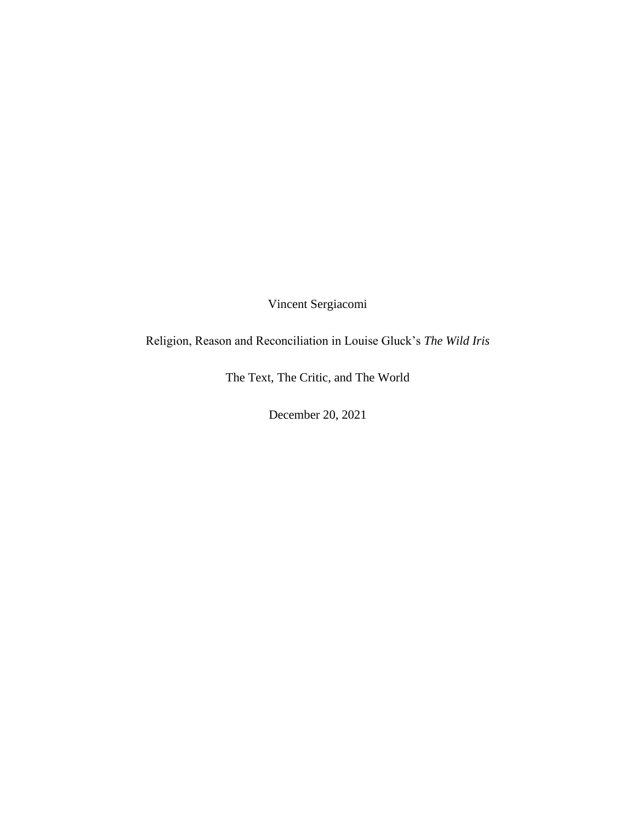Vincent Sergiacomi

Religion, Reason and Reconciliation in Louise Gluck's *The Wild Iris*

The Text, The Critic, and The World

December 20, 2021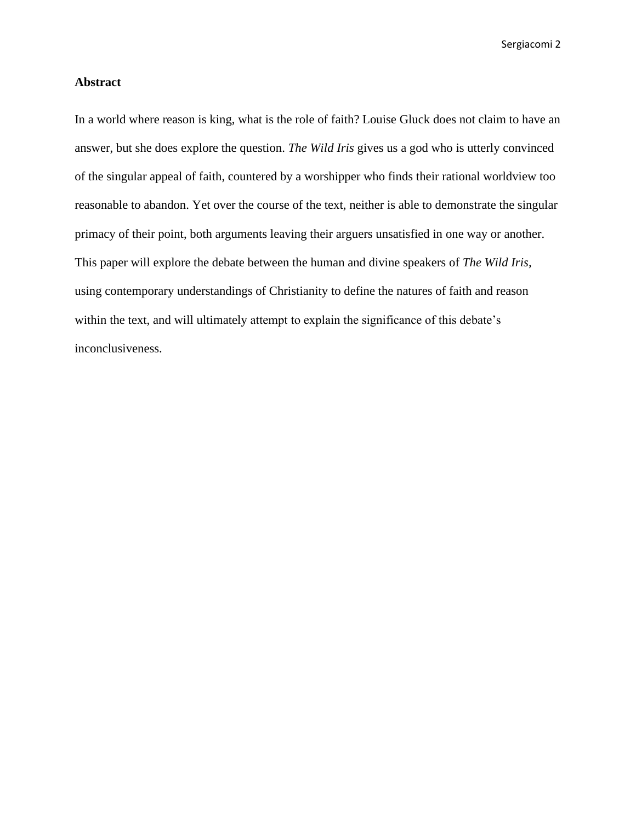## **Abstract**

In a world where reason is king, what is the role of faith? Louise Gluck does not claim to have an answer, but she does explore the question. *The Wild Iris* gives us a god who is utterly convinced of the singular appeal of faith, countered by a worshipper who finds their rational worldview too reasonable to abandon. Yet over the course of the text, neither is able to demonstrate the singular primacy of their point, both arguments leaving their arguers unsatisfied in one way or another. This paper will explore the debate between the human and divine speakers of *The Wild Iris,* using contemporary understandings of Christianity to define the natures of faith and reason within the text, and will ultimately attempt to explain the significance of this debate's inconclusiveness.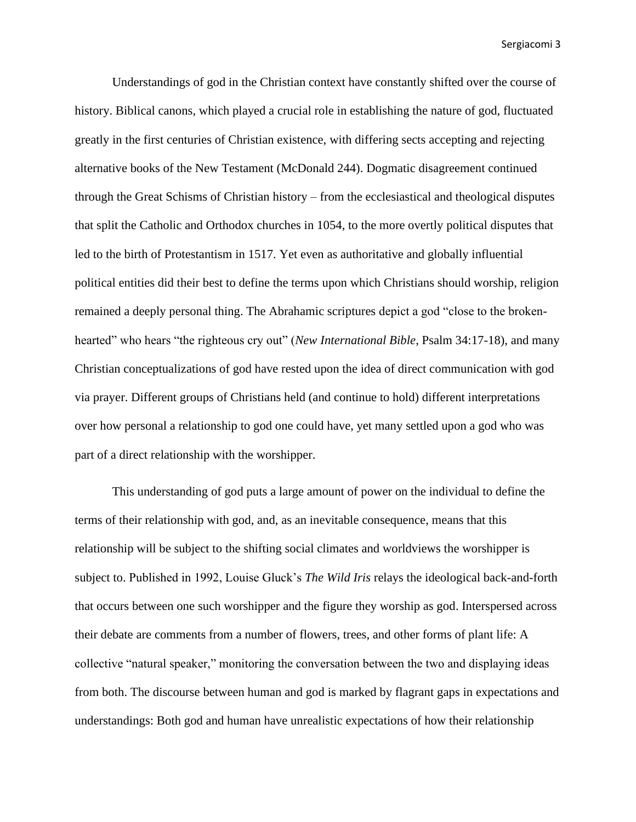Understandings of god in the Christian context have constantly shifted over the course of history. Biblical canons, which played a crucial role in establishing the nature of god, fluctuated greatly in the first centuries of Christian existence, with differing sects accepting and rejecting alternative books of the New Testament (McDonald 244). Dogmatic disagreement continued through the Great Schisms of Christian history – from the ecclesiastical and theological disputes that split the Catholic and Orthodox churches in 1054, to the more overtly political disputes that led to the birth of Protestantism in 1517. Yet even as authoritative and globally influential political entities did their best to define the terms upon which Christians should worship, religion remained a deeply personal thing. The Abrahamic scriptures depict a god "close to the brokenhearted" who hears "the righteous cry out" (*New International Bible*, Psalm 34:17-18), and many Christian conceptualizations of god have rested upon the idea of direct communication with god via prayer. Different groups of Christians held (and continue to hold) different interpretations over how personal a relationship to god one could have, yet many settled upon a god who was part of a direct relationship with the worshipper.

This understanding of god puts a large amount of power on the individual to define the terms of their relationship with god, and, as an inevitable consequence, means that this relationship will be subject to the shifting social climates and worldviews the worshipper is subject to. Published in 1992, Louise Gluck's *The Wild Iris* relays the ideological back-and-forth that occurs between one such worshipper and the figure they worship as god. Interspersed across their debate are comments from a number of flowers, trees, and other forms of plant life: A collective "natural speaker," monitoring the conversation between the two and displaying ideas from both. The discourse between human and god is marked by flagrant gaps in expectations and understandings: Both god and human have unrealistic expectations of how their relationship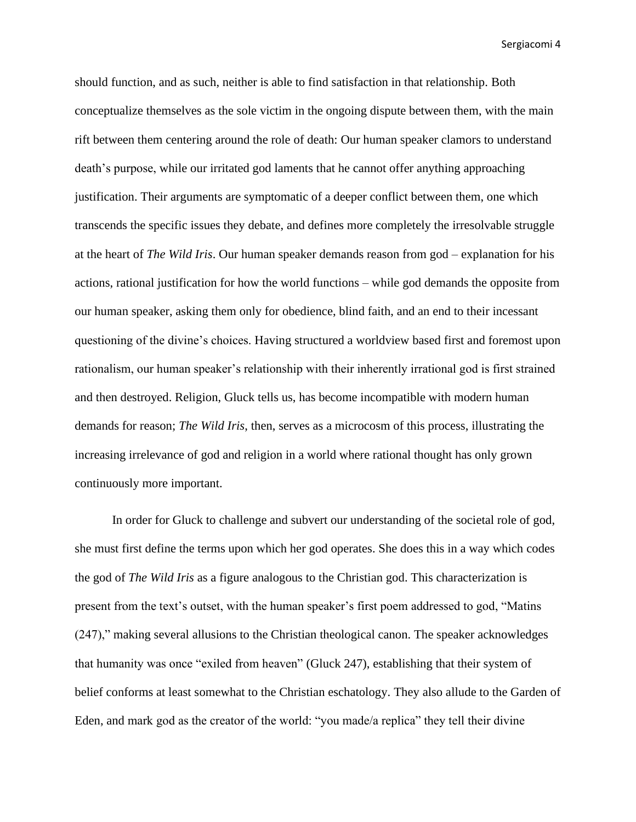should function, and as such, neither is able to find satisfaction in that relationship. Both conceptualize themselves as the sole victim in the ongoing dispute between them, with the main rift between them centering around the role of death: Our human speaker clamors to understand death's purpose, while our irritated god laments that he cannot offer anything approaching justification. Their arguments are symptomatic of a deeper conflict between them, one which transcends the specific issues they debate, and defines more completely the irresolvable struggle at the heart of *The Wild Iris*. Our human speaker demands reason from god – explanation for his actions, rational justification for how the world functions – while god demands the opposite from our human speaker, asking them only for obedience, blind faith, and an end to their incessant questioning of the divine's choices. Having structured a worldview based first and foremost upon rationalism, our human speaker's relationship with their inherently irrational god is first strained and then destroyed. Religion, Gluck tells us, has become incompatible with modern human demands for reason; *The Wild Iris*, then, serves as a microcosm of this process, illustrating the increasing irrelevance of god and religion in a world where rational thought has only grown continuously more important.

In order for Gluck to challenge and subvert our understanding of the societal role of god, she must first define the terms upon which her god operates. She does this in a way which codes the god of *The Wild Iris* as a figure analogous to the Christian god. This characterization is present from the text's outset, with the human speaker's first poem addressed to god, "Matins (247)," making several allusions to the Christian theological canon. The speaker acknowledges that humanity was once "exiled from heaven" (Gluck 247), establishing that their system of belief conforms at least somewhat to the Christian eschatology. They also allude to the Garden of Eden, and mark god as the creator of the world: "you made/a replica" they tell their divine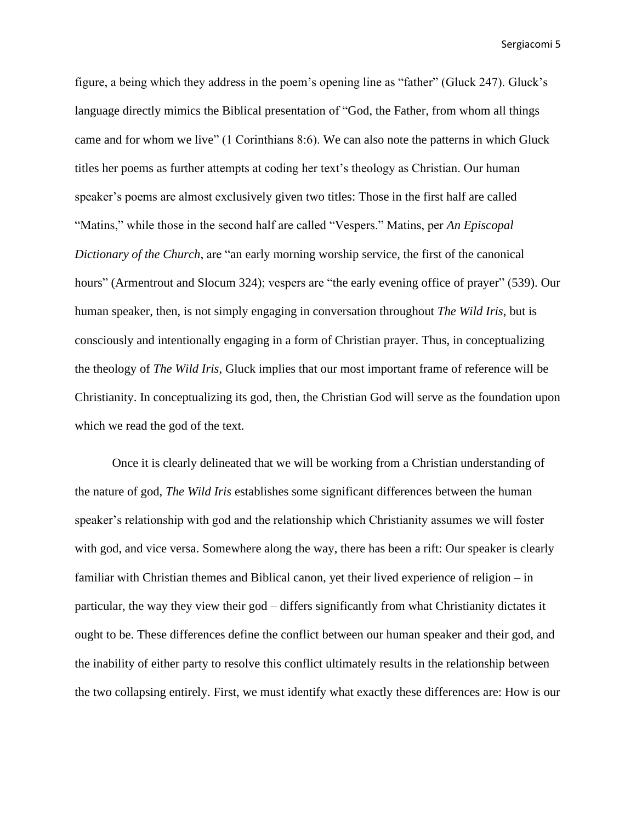figure, a being which they address in the poem's opening line as "father" (Gluck 247). Gluck's language directly mimics the Biblical presentation of "God, the Father, from whom all things came and for whom we live" (1 Corinthians 8:6). We can also note the patterns in which Gluck titles her poems as further attempts at coding her text's theology as Christian. Our human speaker's poems are almost exclusively given two titles: Those in the first half are called "Matins," while those in the second half are called "Vespers." Matins, per *An Episcopal Dictionary of the Church*, are "an early morning worship service, the first of the canonical hours" (Armentrout and Slocum 324); vespers are "the early evening office of prayer" (539). Our human speaker, then, is not simply engaging in conversation throughout *The Wild Iris*, but is consciously and intentionally engaging in a form of Christian prayer. Thus, in conceptualizing the theology of *The Wild Iris*, Gluck implies that our most important frame of reference will be Christianity. In conceptualizing its god, then, the Christian God will serve as the foundation upon which we read the god of the text.

Once it is clearly delineated that we will be working from a Christian understanding of the nature of god, *The Wild Iris* establishes some significant differences between the human speaker's relationship with god and the relationship which Christianity assumes we will foster with god, and vice versa. Somewhere along the way, there has been a rift: Our speaker is clearly familiar with Christian themes and Biblical canon, yet their lived experience of religion – in particular, the way they view their god – differs significantly from what Christianity dictates it ought to be. These differences define the conflict between our human speaker and their god, and the inability of either party to resolve this conflict ultimately results in the relationship between the two collapsing entirely. First, we must identify what exactly these differences are: How is our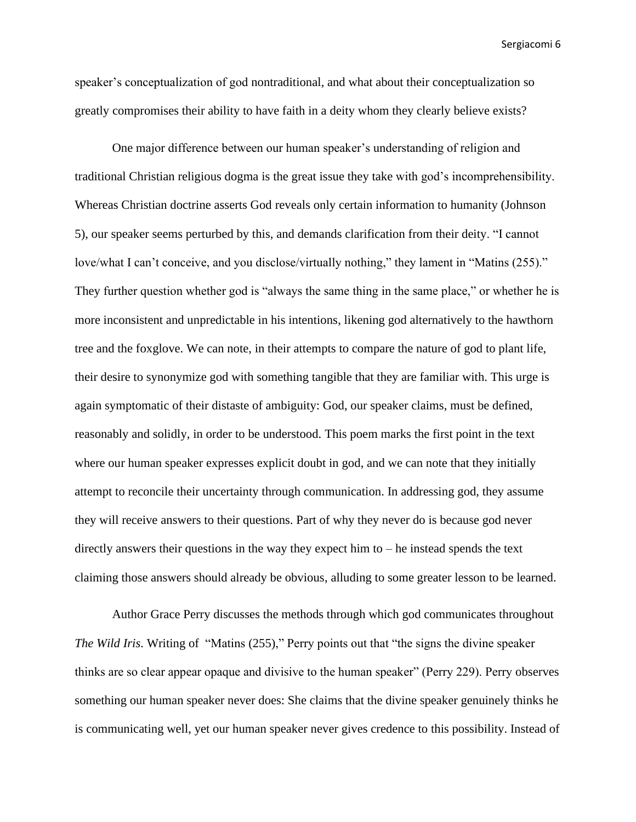speaker's conceptualization of god nontraditional, and what about their conceptualization so greatly compromises their ability to have faith in a deity whom they clearly believe exists?

One major difference between our human speaker's understanding of religion and traditional Christian religious dogma is the great issue they take with god's incomprehensibility. Whereas Christian doctrine asserts God reveals only certain information to humanity (Johnson 5), our speaker seems perturbed by this, and demands clarification from their deity. "I cannot love/what I can't conceive, and you disclose/virtually nothing," they lament in "Matins (255)." They further question whether god is "always the same thing in the same place," or whether he is more inconsistent and unpredictable in his intentions, likening god alternatively to the hawthorn tree and the foxglove. We can note, in their attempts to compare the nature of god to plant life, their desire to synonymize god with something tangible that they are familiar with. This urge is again symptomatic of their distaste of ambiguity: God, our speaker claims, must be defined, reasonably and solidly, in order to be understood. This poem marks the first point in the text where our human speaker expresses explicit doubt in god, and we can note that they initially attempt to reconcile their uncertainty through communication. In addressing god, they assume they will receive answers to their questions. Part of why they never do is because god never directly answers their questions in the way they expect him to – he instead spends the text claiming those answers should already be obvious, alluding to some greater lesson to be learned.

Author Grace Perry discusses the methods through which god communicates throughout *The Wild Iris*. Writing of "Matins (255)," Perry points out that "the signs the divine speaker thinks are so clear appear opaque and divisive to the human speaker" (Perry 229). Perry observes something our human speaker never does: She claims that the divine speaker genuinely thinks he is communicating well, yet our human speaker never gives credence to this possibility. Instead of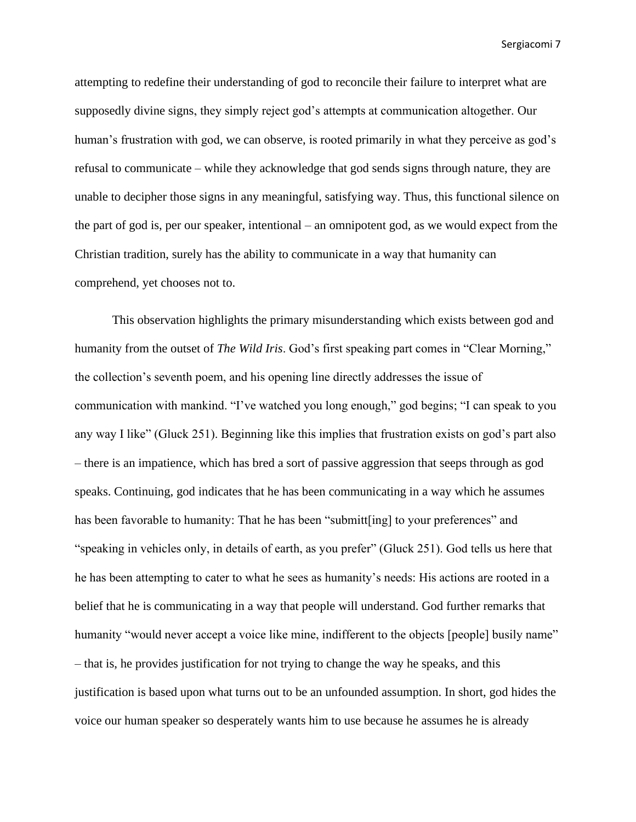attempting to redefine their understanding of god to reconcile their failure to interpret what are supposedly divine signs, they simply reject god's attempts at communication altogether. Our human's frustration with god, we can observe, is rooted primarily in what they perceive as god's refusal to communicate – while they acknowledge that god sends signs through nature, they are unable to decipher those signs in any meaningful, satisfying way. Thus, this functional silence on the part of god is, per our speaker, intentional – an omnipotent god, as we would expect from the Christian tradition, surely has the ability to communicate in a way that humanity can comprehend, yet chooses not to.

This observation highlights the primary misunderstanding which exists between god and humanity from the outset of *The Wild Iris*. God's first speaking part comes in "Clear Morning," the collection's seventh poem, and his opening line directly addresses the issue of communication with mankind. "I've watched you long enough," god begins; "I can speak to you any way I like" (Gluck 251). Beginning like this implies that frustration exists on god's part also – there is an impatience, which has bred a sort of passive aggression that seeps through as god speaks. Continuing, god indicates that he has been communicating in a way which he assumes has been favorable to humanity: That he has been "submitt[ing] to your preferences" and "speaking in vehicles only, in details of earth, as you prefer" (Gluck 251). God tells us here that he has been attempting to cater to what he sees as humanity's needs: His actions are rooted in a belief that he is communicating in a way that people will understand. God further remarks that humanity "would never accept a voice like mine, indifferent to the objects [people] busily name" – that is, he provides justification for not trying to change the way he speaks, and this justification is based upon what turns out to be an unfounded assumption. In short, god hides the voice our human speaker so desperately wants him to use because he assumes he is already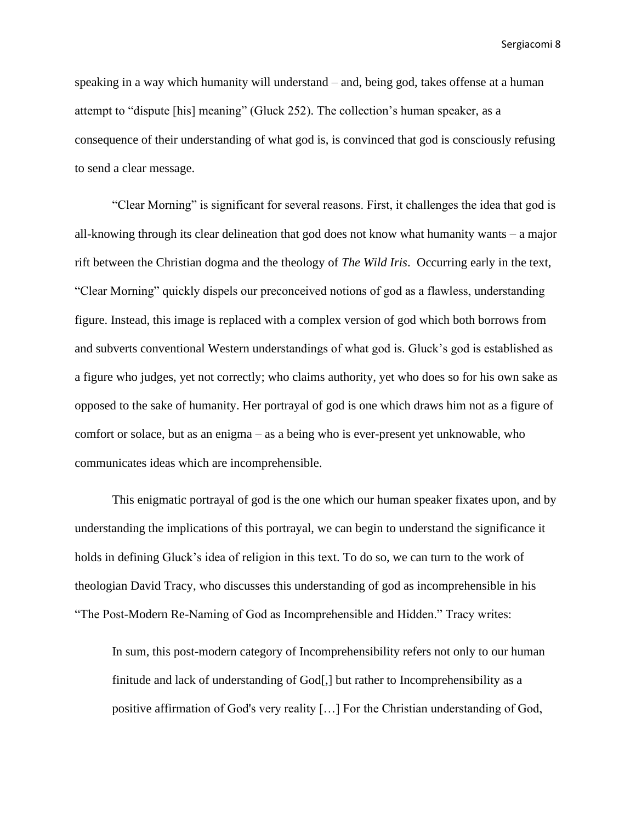speaking in a way which humanity will understand – and, being god, takes offense at a human attempt to "dispute [his] meaning" (Gluck 252). The collection's human speaker, as a consequence of their understanding of what god is, is convinced that god is consciously refusing to send a clear message.

"Clear Morning" is significant for several reasons. First, it challenges the idea that god is all-knowing through its clear delineation that god does not know what humanity wants – a major rift between the Christian dogma and the theology of *The Wild Iris*. Occurring early in the text, "Clear Morning" quickly dispels our preconceived notions of god as a flawless, understanding figure. Instead, this image is replaced with a complex version of god which both borrows from and subverts conventional Western understandings of what god is. Gluck's god is established as a figure who judges, yet not correctly; who claims authority, yet who does so for his own sake as opposed to the sake of humanity. Her portrayal of god is one which draws him not as a figure of comfort or solace, but as an enigma – as a being who is ever-present yet unknowable, who communicates ideas which are incomprehensible.

This enigmatic portrayal of god is the one which our human speaker fixates upon, and by understanding the implications of this portrayal, we can begin to understand the significance it holds in defining Gluck's idea of religion in this text. To do so, we can turn to the work of theologian David Tracy, who discusses this understanding of god as incomprehensible in his "The Post-Modern Re-Naming of God as Incomprehensible and Hidden." Tracy writes:

In sum, this post-modern category of Incomprehensibility refers not only to our human finitude and lack of understanding of God[,] but rather to Incomprehensibility as a positive affirmation of God's very reality […] For the Christian understanding of God,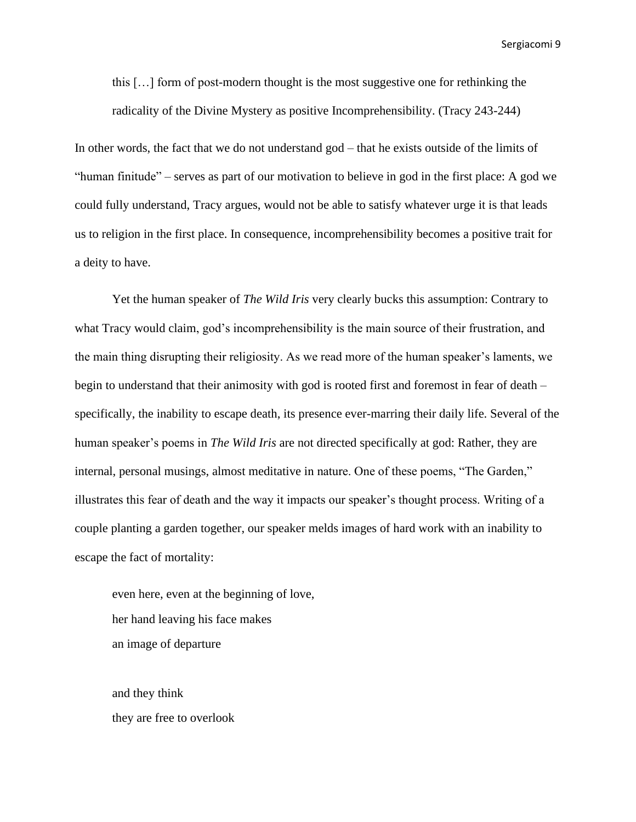this […] form of post-modern thought is the most suggestive one for rethinking the radicality of the Divine Mystery as positive Incomprehensibility. (Tracy 243-244)

In other words, the fact that we do not understand god – that he exists outside of the limits of "human finitude" – serves as part of our motivation to believe in god in the first place: A god we could fully understand, Tracy argues, would not be able to satisfy whatever urge it is that leads us to religion in the first place. In consequence, incomprehensibility becomes a positive trait for a deity to have.

Yet the human speaker of *The Wild Iris* very clearly bucks this assumption: Contrary to what Tracy would claim, god's incomprehensibility is the main source of their frustration, and the main thing disrupting their religiosity. As we read more of the human speaker's laments, we begin to understand that their animosity with god is rooted first and foremost in fear of death – specifically, the inability to escape death, its presence ever-marring their daily life. Several of the human speaker's poems in *The Wild Iris* are not directed specifically at god: Rather, they are internal, personal musings, almost meditative in nature. One of these poems, "The Garden," illustrates this fear of death and the way it impacts our speaker's thought process. Writing of a couple planting a garden together, our speaker melds images of hard work with an inability to escape the fact of mortality:

even here, even at the beginning of love, her hand leaving his face makes an image of departure

and they think they are free to overlook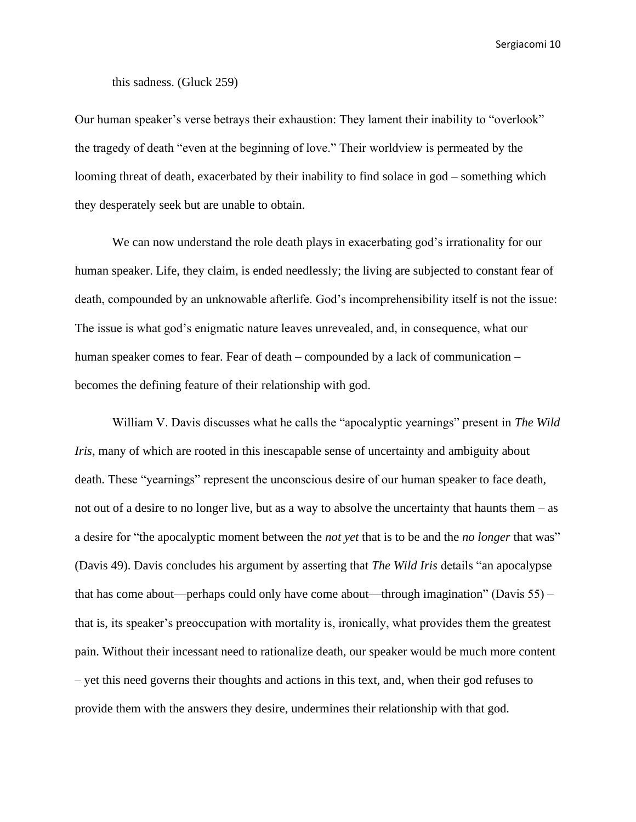## this sadness. (Gluck 259)

Our human speaker's verse betrays their exhaustion: They lament their inability to "overlook" the tragedy of death "even at the beginning of love." Their worldview is permeated by the looming threat of death, exacerbated by their inability to find solace in god – something which they desperately seek but are unable to obtain.

We can now understand the role death plays in exacerbating god's irrationality for our human speaker. Life, they claim, is ended needlessly; the living are subjected to constant fear of death, compounded by an unknowable afterlife. God's incomprehensibility itself is not the issue: The issue is what god's enigmatic nature leaves unrevealed, and, in consequence, what our human speaker comes to fear. Fear of death – compounded by a lack of communication – becomes the defining feature of their relationship with god.

William V. Davis discusses what he calls the "apocalyptic yearnings" present in *The Wild Iris*, many of which are rooted in this inescapable sense of uncertainty and ambiguity about death. These "yearnings" represent the unconscious desire of our human speaker to face death, not out of a desire to no longer live, but as a way to absolve the uncertainty that haunts them – as a desire for "the apocalyptic moment between the *not yet* that is to be and the *no longer* that was" (Davis 49). Davis concludes his argument by asserting that *The Wild Iris* details "an apocalypse that has come about—perhaps could only have come about—through imagination" (Davis 55) – that is, its speaker's preoccupation with mortality is, ironically, what provides them the greatest pain. Without their incessant need to rationalize death, our speaker would be much more content – yet this need governs their thoughts and actions in this text, and, when their god refuses to provide them with the answers they desire, undermines their relationship with that god.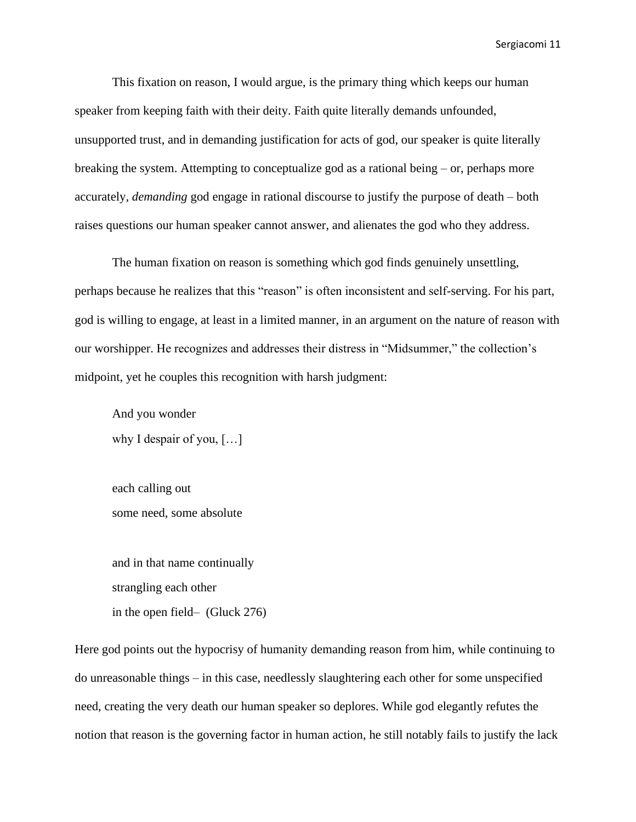This fixation on reason, I would argue, is the primary thing which keeps our human speaker from keeping faith with their deity. Faith quite literally demands unfounded, unsupported trust, and in demanding justification for acts of god, our speaker is quite literally breaking the system. Attempting to conceptualize god as a rational being – or, perhaps more accurately, *demanding* god engage in rational discourse to justify the purpose of death – both raises questions our human speaker cannot answer, and alienates the god who they address.

The human fixation on reason is something which god finds genuinely unsettling, perhaps because he realizes that this "reason" is often inconsistent and self-serving. For his part, god is willing to engage, at least in a limited manner, in an argument on the nature of reason with our worshipper. He recognizes and addresses their distress in "Midsummer," the collection's midpoint, yet he couples this recognition with harsh judgment:

And you wonder why I despair of you, […]

each calling out some need, some absolute

and in that name continually strangling each other in the open field– (Gluck 276)

Here god points out the hypocrisy of humanity demanding reason from him, while continuing to do unreasonable things – in this case, needlessly slaughtering each other for some unspecified need, creating the very death our human speaker so deplores. While god elegantly refutes the notion that reason is the governing factor in human action, he still notably fails to justify the lack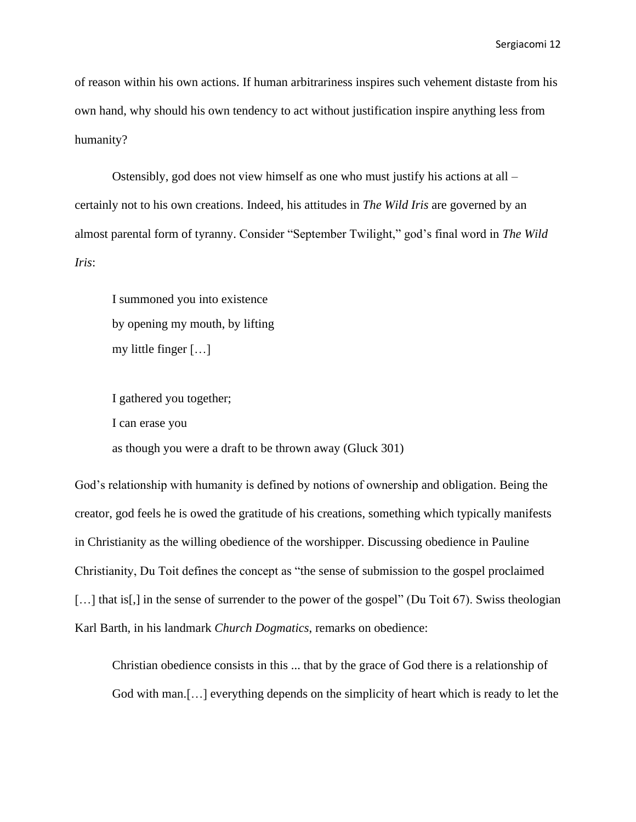of reason within his own actions. If human arbitrariness inspires such vehement distaste from his own hand, why should his own tendency to act without justification inspire anything less from humanity?

Ostensibly, god does not view himself as one who must justify his actions at all – certainly not to his own creations. Indeed, his attitudes in *The Wild Iris* are governed by an almost parental form of tyranny. Consider "September Twilight," god's final word in *The Wild Iris*:

I summoned you into existence by opening my mouth, by lifting my little finger […]

I gathered you together; I can erase you as though you were a draft to be thrown away (Gluck 301)

God's relationship with humanity is defined by notions of ownership and obligation. Being the creator, god feels he is owed the gratitude of his creations, something which typically manifests in Christianity as the willing obedience of the worshipper. Discussing obedience in Pauline Christianity, Du Toit defines the concept as "the sense of submission to the gospel proclaimed [...] that is[,] in the sense of surrender to the power of the gospel" (Du Toit 67). Swiss theologian Karl Barth, in his landmark *Church Dogmatics*, remarks on obedience:

Christian obedience consists in this ... that by the grace of God there is a relationship of God with man.[…] everything depends on the simplicity of heart which is ready to let the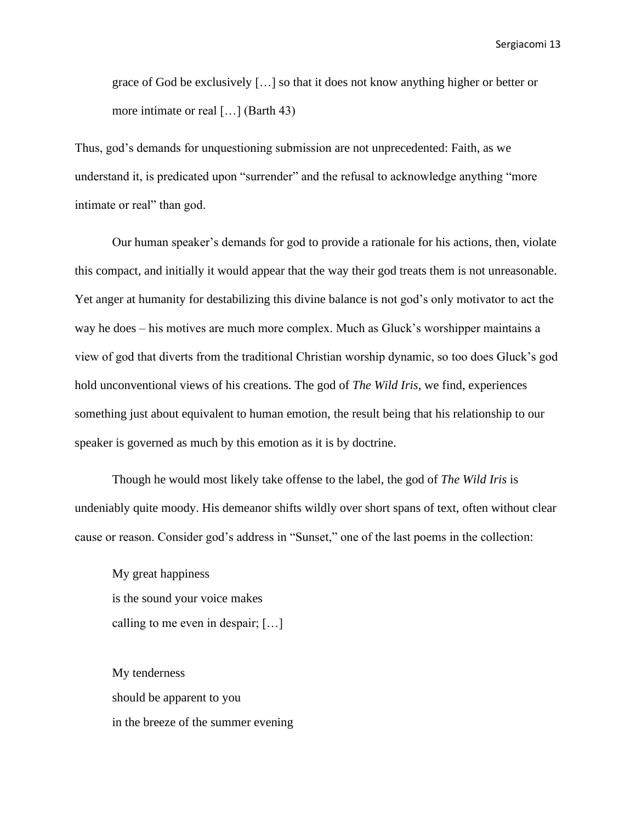grace of God be exclusively […] so that it does not know anything higher or better or more intimate or real […] (Barth 43)

Thus, god's demands for unquestioning submission are not unprecedented: Faith, as we understand it, is predicated upon "surrender" and the refusal to acknowledge anything "more intimate or real" than god.

Our human speaker's demands for god to provide a rationale for his actions, then, violate this compact, and initially it would appear that the way their god treats them is not unreasonable. Yet anger at humanity for destabilizing this divine balance is not god's only motivator to act the way he does – his motives are much more complex. Much as Gluck's worshipper maintains a view of god that diverts from the traditional Christian worship dynamic, so too does Gluck's god hold unconventional views of his creations. The god of *The Wild Iris*, we find, experiences something just about equivalent to human emotion, the result being that his relationship to our speaker is governed as much by this emotion as it is by doctrine.

Though he would most likely take offense to the label, the god of *The Wild Iris* is undeniably quite moody. His demeanor shifts wildly over short spans of text, often without clear cause or reason. Consider god's address in "Sunset," one of the last poems in the collection:

My great happiness is the sound your voice makes calling to me even in despair; […]

My tenderness should be apparent to you in the breeze of the summer evening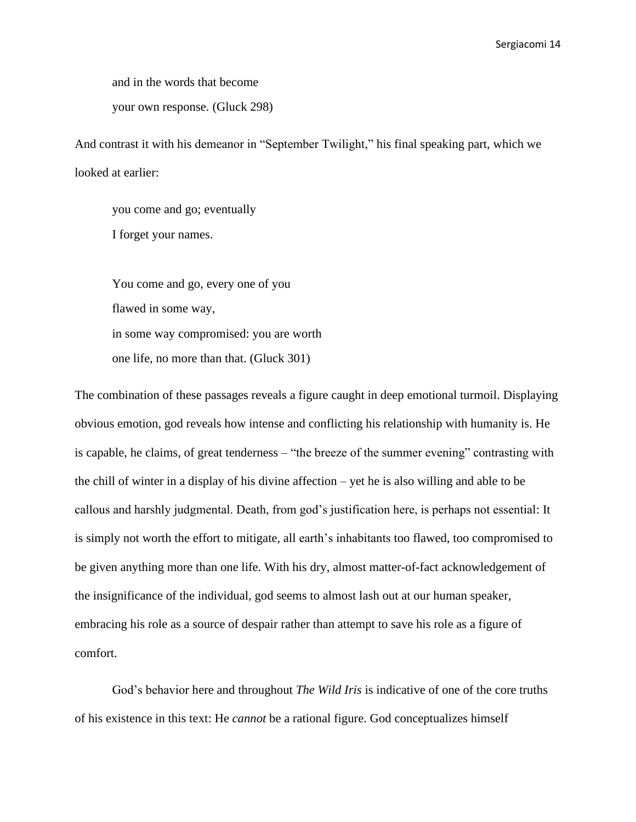and in the words that become

your own response. (Gluck 298)

And contrast it with his demeanor in "September Twilight," his final speaking part, which we looked at earlier:

you come and go; eventually I forget your names.

You come and go, every one of you flawed in some way, in some way compromised: you are worth one life, no more than that. (Gluck 301)

The combination of these passages reveals a figure caught in deep emotional turmoil. Displaying obvious emotion, god reveals how intense and conflicting his relationship with humanity is. He is capable, he claims, of great tenderness – "the breeze of the summer evening" contrasting with the chill of winter in a display of his divine affection – yet he is also willing and able to be callous and harshly judgmental. Death, from god's justification here, is perhaps not essential: It is simply not worth the effort to mitigate, all earth's inhabitants too flawed, too compromised to be given anything more than one life. With his dry, almost matter-of-fact acknowledgement of the insignificance of the individual, god seems to almost lash out at our human speaker, embracing his role as a source of despair rather than attempt to save his role as a figure of comfort.

God's behavior here and throughout *The Wild Iris* is indicative of one of the core truths of his existence in this text: He *cannot* be a rational figure. God conceptualizes himself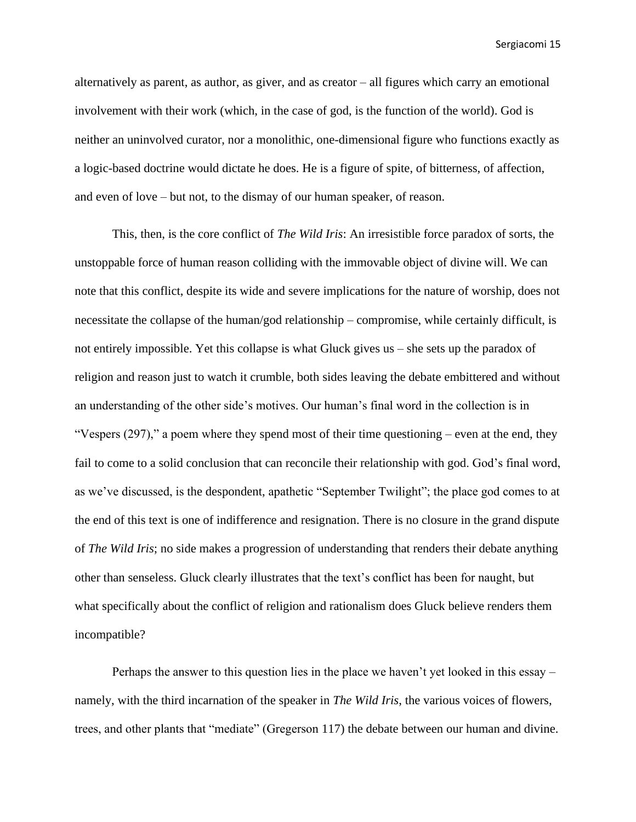alternatively as parent, as author, as giver, and as creator – all figures which carry an emotional involvement with their work (which, in the case of god, is the function of the world). God is neither an uninvolved curator, nor a monolithic, one-dimensional figure who functions exactly as a logic-based doctrine would dictate he does. He is a figure of spite, of bitterness, of affection, and even of love – but not, to the dismay of our human speaker, of reason.

This, then, is the core conflict of *The Wild Iris*: An irresistible force paradox of sorts, the unstoppable force of human reason colliding with the immovable object of divine will. We can note that this conflict, despite its wide and severe implications for the nature of worship, does not necessitate the collapse of the human/god relationship – compromise, while certainly difficult, is not entirely impossible. Yet this collapse is what Gluck gives us – she sets up the paradox of religion and reason just to watch it crumble, both sides leaving the debate embittered and without an understanding of the other side's motives. Our human's final word in the collection is in "Vespers (297)," a poem where they spend most of their time questioning – even at the end, they fail to come to a solid conclusion that can reconcile their relationship with god. God's final word, as we've discussed, is the despondent, apathetic "September Twilight"; the place god comes to at the end of this text is one of indifference and resignation. There is no closure in the grand dispute of *The Wild Iris*; no side makes a progression of understanding that renders their debate anything other than senseless. Gluck clearly illustrates that the text's conflict has been for naught, but what specifically about the conflict of religion and rationalism does Gluck believe renders them incompatible?

Perhaps the answer to this question lies in the place we haven't yet looked in this essay – namely, with the third incarnation of the speaker in *The Wild Iris*, the various voices of flowers, trees, and other plants that "mediate" (Gregerson 117) the debate between our human and divine.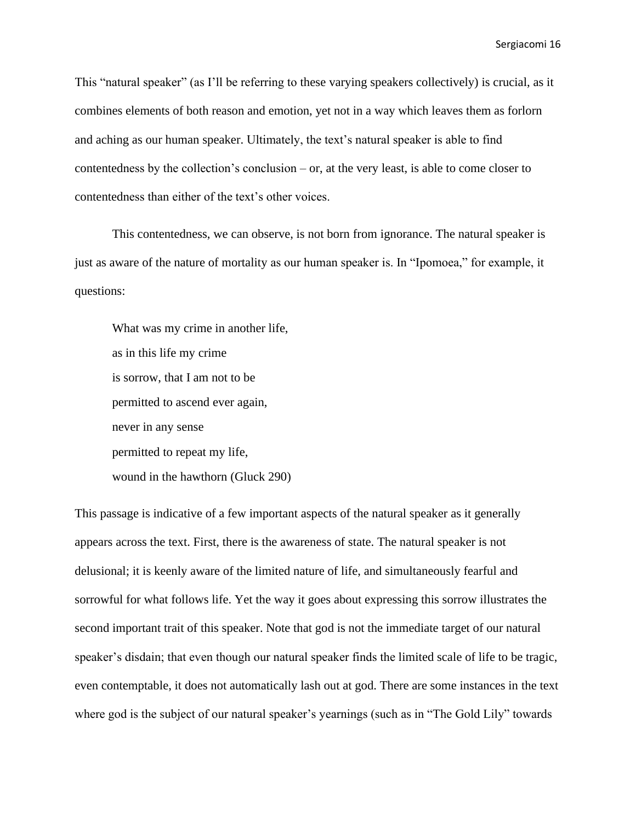This "natural speaker" (as I'll be referring to these varying speakers collectively) is crucial, as it combines elements of both reason and emotion, yet not in a way which leaves them as forlorn and aching as our human speaker. Ultimately, the text's natural speaker is able to find contentedness by the collection's conclusion – or, at the very least, is able to come closer to contentedness than either of the text's other voices.

This contentedness, we can observe, is not born from ignorance. The natural speaker is just as aware of the nature of mortality as our human speaker is. In "Ipomoea," for example, it questions:

What was my crime in another life, as in this life my crime is sorrow, that I am not to be permitted to ascend ever again, never in any sense permitted to repeat my life, wound in the hawthorn (Gluck 290)

This passage is indicative of a few important aspects of the natural speaker as it generally appears across the text. First, there is the awareness of state. The natural speaker is not delusional; it is keenly aware of the limited nature of life, and simultaneously fearful and sorrowful for what follows life. Yet the way it goes about expressing this sorrow illustrates the second important trait of this speaker. Note that god is not the immediate target of our natural speaker's disdain; that even though our natural speaker finds the limited scale of life to be tragic, even contemptable, it does not automatically lash out at god. There are some instances in the text where god is the subject of our natural speaker's yearnings (such as in "The Gold Lily" towards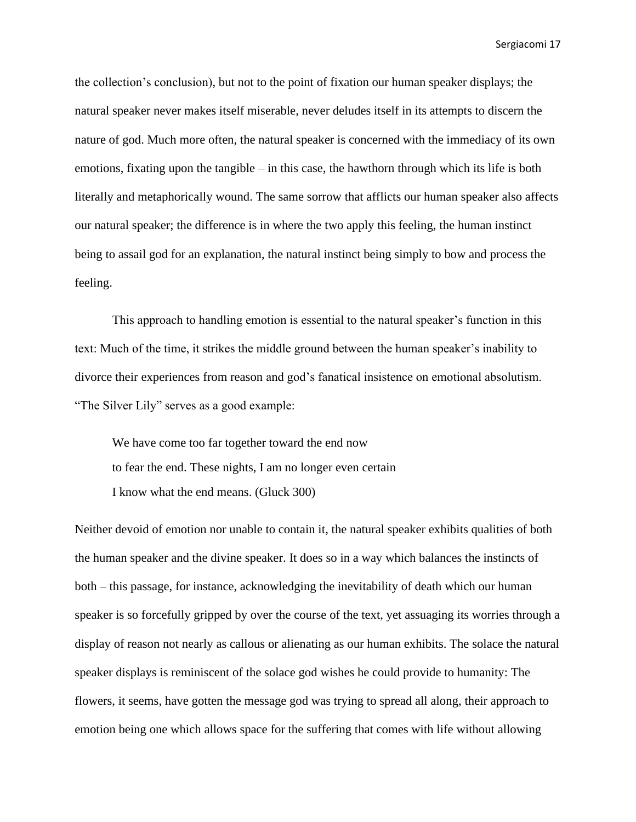the collection's conclusion), but not to the point of fixation our human speaker displays; the natural speaker never makes itself miserable, never deludes itself in its attempts to discern the nature of god. Much more often, the natural speaker is concerned with the immediacy of its own emotions, fixating upon the tangible – in this case, the hawthorn through which its life is both literally and metaphorically wound. The same sorrow that afflicts our human speaker also affects our natural speaker; the difference is in where the two apply this feeling, the human instinct being to assail god for an explanation, the natural instinct being simply to bow and process the feeling.

This approach to handling emotion is essential to the natural speaker's function in this text: Much of the time, it strikes the middle ground between the human speaker's inability to divorce their experiences from reason and god's fanatical insistence on emotional absolutism. "The Silver Lily" serves as a good example:

We have come too far together toward the end now to fear the end. These nights, I am no longer even certain I know what the end means. (Gluck 300)

Neither devoid of emotion nor unable to contain it, the natural speaker exhibits qualities of both the human speaker and the divine speaker. It does so in a way which balances the instincts of both – this passage, for instance, acknowledging the inevitability of death which our human speaker is so forcefully gripped by over the course of the text, yet assuaging its worries through a display of reason not nearly as callous or alienating as our human exhibits. The solace the natural speaker displays is reminiscent of the solace god wishes he could provide to humanity: The flowers, it seems, have gotten the message god was trying to spread all along, their approach to emotion being one which allows space for the suffering that comes with life without allowing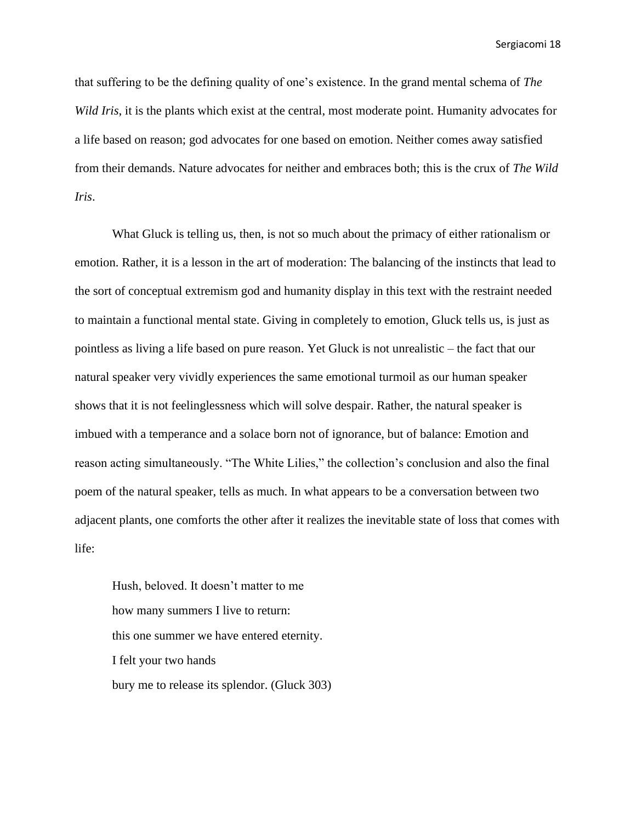that suffering to be the defining quality of one's existence. In the grand mental schema of *The Wild Iris*, it is the plants which exist at the central, most moderate point. Humanity advocates for a life based on reason; god advocates for one based on emotion. Neither comes away satisfied from their demands. Nature advocates for neither and embraces both; this is the crux of *The Wild Iris*.

What Gluck is telling us, then, is not so much about the primacy of either rationalism or emotion. Rather, it is a lesson in the art of moderation: The balancing of the instincts that lead to the sort of conceptual extremism god and humanity display in this text with the restraint needed to maintain a functional mental state. Giving in completely to emotion, Gluck tells us, is just as pointless as living a life based on pure reason. Yet Gluck is not unrealistic – the fact that our natural speaker very vividly experiences the same emotional turmoil as our human speaker shows that it is not feelinglessness which will solve despair. Rather, the natural speaker is imbued with a temperance and a solace born not of ignorance, but of balance: Emotion and reason acting simultaneously. "The White Lilies," the collection's conclusion and also the final poem of the natural speaker, tells as much. In what appears to be a conversation between two adjacent plants, one comforts the other after it realizes the inevitable state of loss that comes with life:

Hush, beloved. It doesn't matter to me how many summers I live to return: this one summer we have entered eternity. I felt your two hands bury me to release its splendor. (Gluck 303)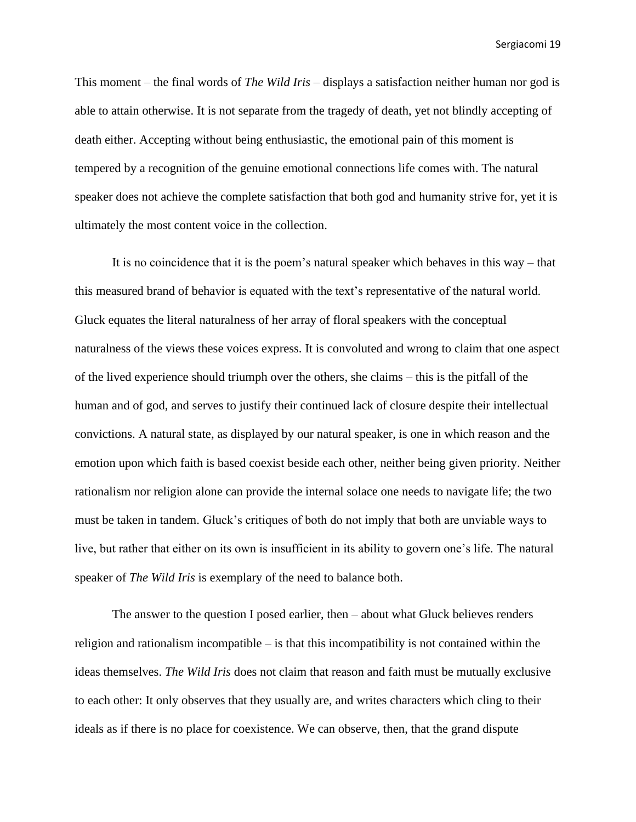This moment – the final words of *The Wild Iris* – displays a satisfaction neither human nor god is able to attain otherwise. It is not separate from the tragedy of death, yet not blindly accepting of death either. Accepting without being enthusiastic, the emotional pain of this moment is tempered by a recognition of the genuine emotional connections life comes with. The natural speaker does not achieve the complete satisfaction that both god and humanity strive for, yet it is ultimately the most content voice in the collection.

It is no coincidence that it is the poem's natural speaker which behaves in this way – that this measured brand of behavior is equated with the text's representative of the natural world. Gluck equates the literal naturalness of her array of floral speakers with the conceptual naturalness of the views these voices express. It is convoluted and wrong to claim that one aspect of the lived experience should triumph over the others, she claims – this is the pitfall of the human and of god, and serves to justify their continued lack of closure despite their intellectual convictions. A natural state, as displayed by our natural speaker, is one in which reason and the emotion upon which faith is based coexist beside each other, neither being given priority. Neither rationalism nor religion alone can provide the internal solace one needs to navigate life; the two must be taken in tandem. Gluck's critiques of both do not imply that both are unviable ways to live, but rather that either on its own is insufficient in its ability to govern one's life. The natural speaker of *The Wild Iris* is exemplary of the need to balance both.

The answer to the question I posed earlier, then – about what Gluck believes renders religion and rationalism incompatible – is that this incompatibility is not contained within the ideas themselves. *The Wild Iris* does not claim that reason and faith must be mutually exclusive to each other: It only observes that they usually are, and writes characters which cling to their ideals as if there is no place for coexistence. We can observe, then, that the grand dispute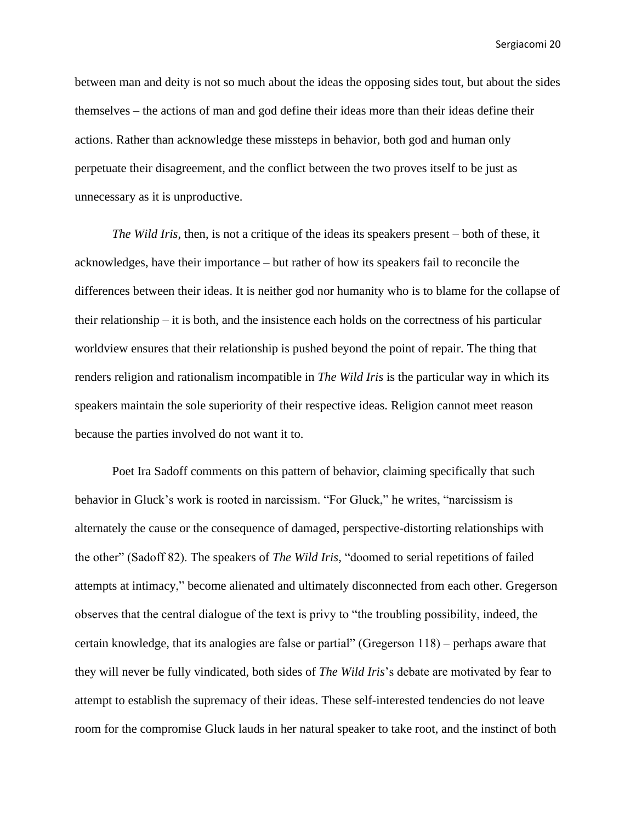between man and deity is not so much about the ideas the opposing sides tout, but about the sides themselves – the actions of man and god define their ideas more than their ideas define their actions. Rather than acknowledge these missteps in behavior, both god and human only perpetuate their disagreement, and the conflict between the two proves itself to be just as unnecessary as it is unproductive.

*The Wild Iris*, then, is not a critique of the ideas its speakers present – both of these, it acknowledges, have their importance – but rather of how its speakers fail to reconcile the differences between their ideas. It is neither god nor humanity who is to blame for the collapse of their relationship – it is both, and the insistence each holds on the correctness of his particular worldview ensures that their relationship is pushed beyond the point of repair. The thing that renders religion and rationalism incompatible in *The Wild Iris* is the particular way in which its speakers maintain the sole superiority of their respective ideas. Religion cannot meet reason because the parties involved do not want it to.

Poet Ira Sadoff comments on this pattern of behavior, claiming specifically that such behavior in Gluck's work is rooted in narcissism. "For Gluck," he writes, "narcissism is alternately the cause or the consequence of damaged, perspective-distorting relationships with the other" (Sadoff 82). The speakers of *The Wild Iris*, "doomed to serial repetitions of failed attempts at intimacy," become alienated and ultimately disconnected from each other. Gregerson observes that the central dialogue of the text is privy to "the troubling possibility, indeed, the certain knowledge, that its analogies are false or partial" (Gregerson 118) – perhaps aware that they will never be fully vindicated, both sides of *The Wild Iris*'s debate are motivated by fear to attempt to establish the supremacy of their ideas. These self-interested tendencies do not leave room for the compromise Gluck lauds in her natural speaker to take root, and the instinct of both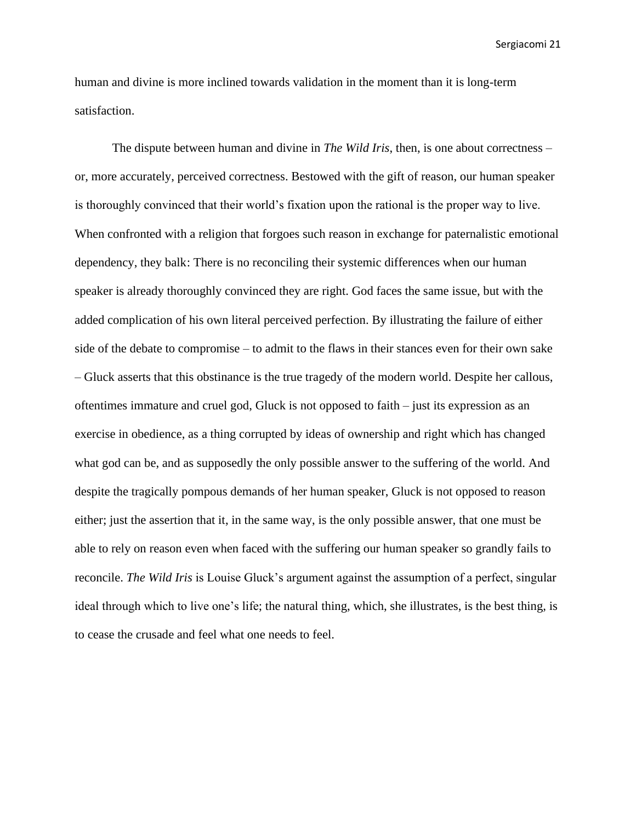human and divine is more inclined towards validation in the moment than it is long-term satisfaction.

The dispute between human and divine in *The Wild Iris*, then, is one about correctness – or, more accurately, perceived correctness. Bestowed with the gift of reason, our human speaker is thoroughly convinced that their world's fixation upon the rational is the proper way to live. When confronted with a religion that forgoes such reason in exchange for paternalistic emotional dependency, they balk: There is no reconciling their systemic differences when our human speaker is already thoroughly convinced they are right. God faces the same issue, but with the added complication of his own literal perceived perfection. By illustrating the failure of either side of the debate to compromise – to admit to the flaws in their stances even for their own sake – Gluck asserts that this obstinance is the true tragedy of the modern world. Despite her callous, oftentimes immature and cruel god, Gluck is not opposed to faith – just its expression as an exercise in obedience, as a thing corrupted by ideas of ownership and right which has changed what god can be, and as supposedly the only possible answer to the suffering of the world. And despite the tragically pompous demands of her human speaker, Gluck is not opposed to reason either; just the assertion that it, in the same way, is the only possible answer, that one must be able to rely on reason even when faced with the suffering our human speaker so grandly fails to reconcile. *The Wild Iris* is Louise Gluck's argument against the assumption of a perfect, singular ideal through which to live one's life; the natural thing, which, she illustrates, is the best thing, is to cease the crusade and feel what one needs to feel.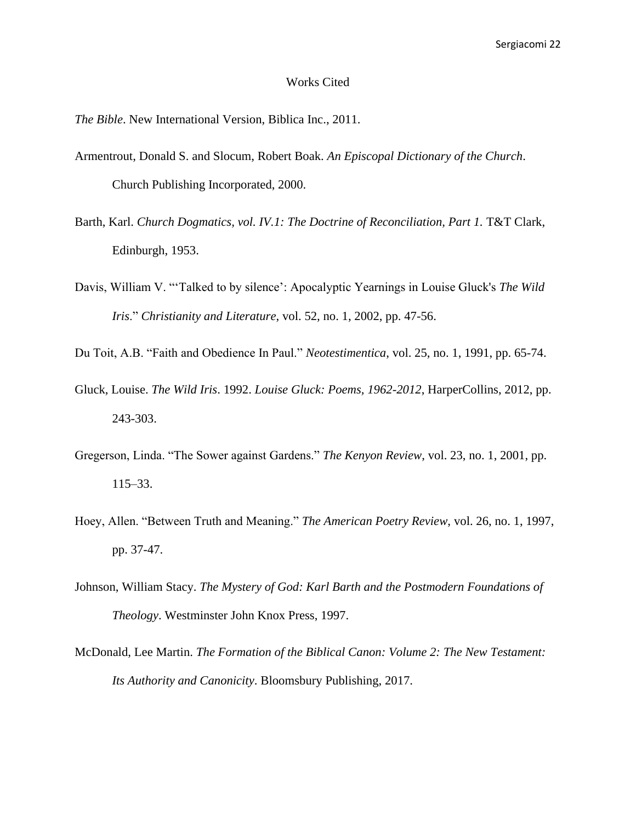## Works Cited

*The Bible*. New International Version, Biblica Inc., 2011.

- Armentrout, Donald S. and Slocum, Robert Boak. *An Episcopal Dictionary of the Church*. Church Publishing Incorporated, 2000.
- Barth, Karl. *Church Dogmatics, vol. IV.1: The Doctrine of Reconciliation, Part 1.* T&T Clark, Edinburgh, 1953.
- Davis, William V. "'Talked to by silence': Apocalyptic Yearnings in Louise Gluck's *The Wild Iris*." *Christianity and Literature*, vol. 52, no. 1, 2002, pp. 47-56.
- Du Toit, A.B. "Faith and Obedience In Paul." *Neotestimentica*, vol. 25, no. 1, 1991, pp. 65-74.
- Gluck, Louise. *The Wild Iris*. 1992. *Louise Gluck: Poems, 1962-2012*, HarperCollins, 2012, pp. 243-303.
- Gregerson, Linda. "The Sower against Gardens." *The Kenyon Review*, vol. 23, no. 1, 2001, pp. 115–33.
- Hoey, Allen. "Between Truth and Meaning." *The American Poetry Review*, vol. 26, no. 1, 1997, pp. 37-47.
- Johnson, William Stacy. *The Mystery of God: Karl Barth and the Postmodern Foundations of Theology*. Westminster John Knox Press, 1997.
- McDonald, Lee Martin. *The Formation of the Biblical Canon: Volume 2: The New Testament: Its Authority and Canonicity*. Bloomsbury Publishing, 2017.